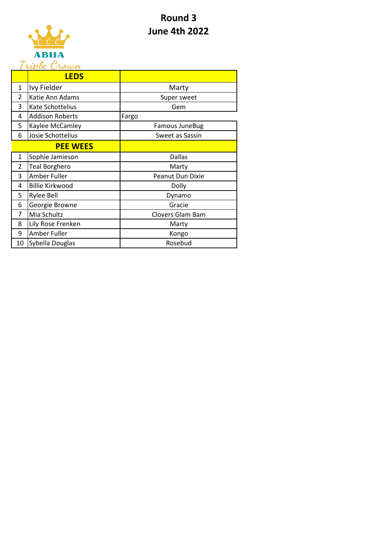## **Round 3 June 4th 2022**



| riple Crown    |                        |                  |
|----------------|------------------------|------------------|
|                | <b>LEDS</b>            |                  |
| 1              | Ivy Fielder            | Marty            |
| 2              | Katie Ann Adams        | Super sweet      |
| 3              | Kate Schottelius       | Gem              |
| 4              | <b>Addison Roberts</b> | Fargo            |
| 5              | Kaylee McCamley        | Famous JuneBug   |
| 6              | Josie Schottelius      | Sweet as Sassin  |
|                | <b>PEE WEES</b>        |                  |
| 1              | Sophie Jamieson        | <b>Dallas</b>    |
| $\overline{2}$ | <b>Teal Borghero</b>   | Marty            |
| 3              | Amber Fuller           | Peanut Dun Dixie |
| 4              | <b>Billie Kirkwood</b> | Dolly            |
| 5              | <b>Rylee Bell</b>      | Dynamo           |
| 6              | Georgie Browne         | Gracie           |
| 7              | Mia Schultz            | Clovers Glam Bam |
| 8              | Lily Rose Frenken      | Marty            |
| 9              | Amber Fuller           | Kongo            |
| 10             | Sybella Douglas        | Rosebud          |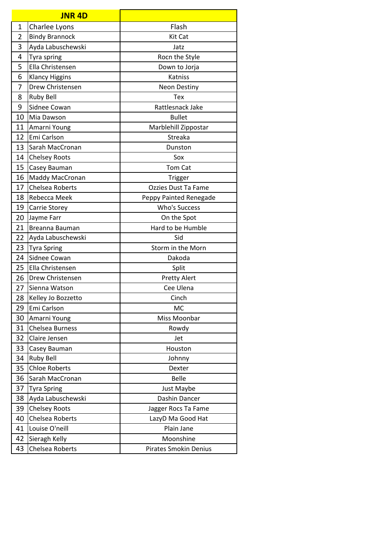|                | <b>JNR 4D</b>         |                              |
|----------------|-----------------------|------------------------------|
| $\mathbf 1$    | Charlee Lyons         | Flash                        |
| $\overline{2}$ | <b>Bindy Brannock</b> | Kit Cat                      |
| 3              | Ayda Labuschewski     | Jatz                         |
| 4              | Tyra spring           | Rocn the Style               |
| 5              | Ella Christensen      | Down to Jorja                |
| 6              | <b>Klancy Higgins</b> | Katniss                      |
| 7              | Drew Christensen      | <b>Neon Destiny</b>          |
| 8              | <b>Ruby Bell</b>      | Tex                          |
| 9              | Sidnee Cowan          | Rattlesnack Jake             |
| 10             | Mia Dawson            | <b>Bullet</b>                |
| 11             | Amarni Young          | Marblehill Zippostar         |
| 12             | Emi Carlson           | Streaka                      |
| 13             | Sarah MacCronan       | Dunston                      |
| 14             | <b>Chelsey Roots</b>  | Sox                          |
| 15             | Casey Bauman          | Tom Cat                      |
| 16             | Maddy MacCronan       | Trigger                      |
| 17             | Chelsea Roberts       | Ozzies Dust Ta Fame          |
| 18             | Rebecca Meek          | Peppy Painted Renegade       |
| 19             | Carrie Storey         | Who's Success                |
| 20             | Jayme Farr            | On the Spot                  |
| 21             | Breanna Bauman        | Hard to be Humble            |
| 22             | Ayda Labuschewski     | Sid                          |
| 23             | <b>Tyra Spring</b>    | Storm in the Morn            |
| 24             | Sidnee Cowan          | Dakoda                       |
| 25             | Ella Christensen      | Split                        |
| 26             | Drew Christensen      | <b>Pretty Alert</b>          |
| 27             | Sienna Watson         | Cee Ulena                    |
| 28             | Kelley Jo Bozzetto    | Cinch                        |
| 29             | Emi Carlson           | МC                           |
| 30             | Amarni Young          | Miss Moonbar                 |
| 31             | Chelsea Burness       | Rowdy                        |
| 32             | Claire Jensen         | Jet                          |
| 33             | Casey Bauman          | Houston                      |
| 34             | <b>Ruby Bell</b>      | Johnny                       |
| 35             | <b>Chloe Roberts</b>  | Dexter                       |
| 36             | Sarah MacCronan       | <b>Belle</b>                 |
| 37             | <b>Tyra Spring</b>    | Just Maybe                   |
| 38             | Ayda Labuschewski     | Dashin Dancer                |
| 39             | <b>Chelsey Roots</b>  | Jagger Rocs Ta Fame          |
| 40             | Chelsea Roberts       | LazyD Ma Good Hat            |
| 41             | Louise O'neill        | Plain Jane                   |
| 42             | Sieragh Kelly         | Moonshine                    |
| 43             | Chelsea Roberts       | <b>Pirates Smokin Denius</b> |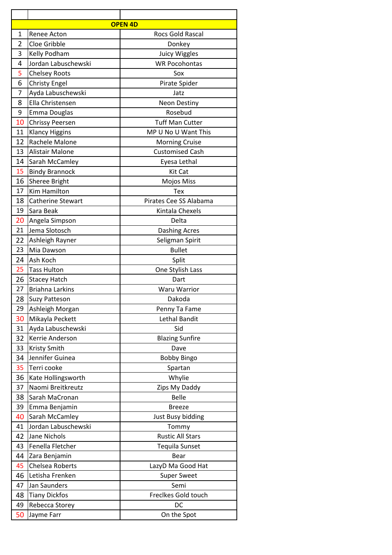| <b>OPEN 4D</b> |                        |                         |  |  |
|----------------|------------------------|-------------------------|--|--|
| 1              | Renee Acton            | <b>Rocs Gold Rascal</b> |  |  |
| $\overline{2}$ | Cloe Gribble           | Donkey                  |  |  |
| 3              | Kelly Podham           | <b>Juicy Wiggles</b>    |  |  |
| 4              | Jordan Labuschewski    | <b>WR Pocohontas</b>    |  |  |
| 5              | <b>Chelsey Roots</b>   | Sox                     |  |  |
| 6              | <b>Christy Engel</b>   | Pirate Spider           |  |  |
| 7              | Ayda Labuschewski      | Jatz                    |  |  |
| 8              | Ella Christensen       | Neon Destiny            |  |  |
| 9              | <b>Emma Douglas</b>    | Rosebud                 |  |  |
| 10             | <b>Chrissy Peersen</b> | <b>Tuff Man Cutter</b>  |  |  |
| 11             | <b>Klancy Higgins</b>  | MP U No U Want This     |  |  |
| 12             | Rachele Malone         | <b>Morning Cruise</b>   |  |  |
| 13             | <b>Alistair Malone</b> | <b>Customised Cash</b>  |  |  |
| 14             | Sarah McCamley         | Eyesa Lethal            |  |  |
| 15             | <b>Bindy Brannock</b>  | Kit Cat                 |  |  |
| 16             | <b>Sheree Bright</b>   | Mojos Miss              |  |  |
| 17             | <b>Kim Hamilton</b>    | Tex                     |  |  |
| 18             | Catherine Stewart      | Pirates Cee SS Alabama  |  |  |
| 19             | Sara Beak              | Kintala Chexels         |  |  |
| 20             | Angela Simpson         | Delta                   |  |  |
| 21             | Jema Slotosch          | <b>Dashing Acres</b>    |  |  |
| 22             | Ashleigh Rayner        | Seligman Spirit         |  |  |
| 23             | Mia Dawson             | <b>Bullet</b>           |  |  |
| 24             | Ash Koch               | Split                   |  |  |
| 25             | <b>Tass Hulton</b>     | One Stylish Lass        |  |  |
| 26             | <b>Stacey Hatch</b>    | Dart                    |  |  |
| 27             | <b>Briahna Larkins</b> | <b>Waru Warrior</b>     |  |  |
| 28             | Suzy Patteson          | Dakoda                  |  |  |
| 29             | Ashleigh Morgan        | Penny Ta Fame           |  |  |
| 30             | Mikayla Peckett        | Lethal Bandit           |  |  |
| 31             | Ayda Labuschewski      | Sid                     |  |  |
| 32             | Kerrie Anderson        | <b>Blazing Sunfire</b>  |  |  |
| 33             | Kristy Smith           | Dave                    |  |  |
| 34             | Jennifer Guinea        | <b>Bobby Bingo</b>      |  |  |
| 35             | Terri cooke            | Spartan                 |  |  |
| 36             | Kate Hollingsworth     | Whylie                  |  |  |
| 37             | Naomi Breitkreutz      | Zips My Daddy           |  |  |
| 38             | Sarah MaCronan         | <b>Belle</b>            |  |  |
| 39             | Emma Benjamin          | <b>Breeze</b>           |  |  |
| 40             | Sarah McCamley         | Just Busy bidding       |  |  |
| 41             | Jordan Labuschewski    | Tommy                   |  |  |
| 42             | <b>Jane Nichols</b>    | <b>Rustic All Stars</b> |  |  |
| 43             | Fenella Fletcher       | <b>Tequila Sunset</b>   |  |  |
| 44             | Zara Benjamin          | Bear                    |  |  |
| 45             | Chelsea Roberts        | LazyD Ma Good Hat       |  |  |
| 46             | Letisha Frenken        | <b>Super Sweet</b>      |  |  |
| 47             | Jan Saunders           | Semi                    |  |  |
| 48             | <b>Tiany Dickfos</b>   | Freclkes Gold touch     |  |  |
| 49             | Rebecca Storey         | DC                      |  |  |
| 50             | Jayme Farr             | On the Spot             |  |  |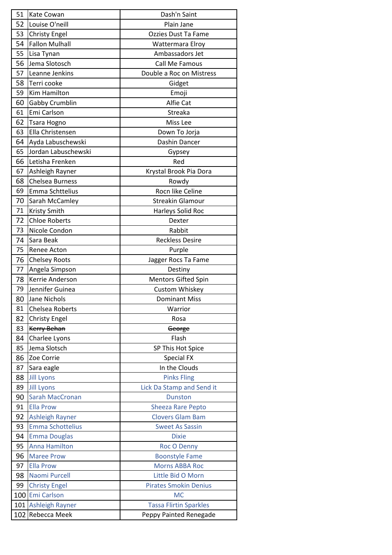| 51  | Kate Cowan              | Dash'n Saint                  |
|-----|-------------------------|-------------------------------|
| 52  | Louise O'neill          | Plain Jane                    |
| 53  | <b>Christy Engel</b>    | <b>Ozzies Dust Ta Fame</b>    |
| 54  | <b>Fallon Mulhall</b>   | Wattermara Elroy              |
| 55  | Lisa Tynan              | Ambassadors Jet               |
| 56  | Jema Slotosch           | Call Me Famous                |
| 57  | Leanne Jenkins          | Double a Roc on Mistress      |
| 58  | Terri cooke             | Gidget                        |
| 59  | <b>Kim Hamilton</b>     | Emoji                         |
| 60  | Gabby Crumblin          | Alfie Cat                     |
| 61  | Emi Carlson             | Streaka                       |
| 62  | <b>Tsara Hogno</b>      | Miss Lee                      |
| 63  | Ella Christensen        | Down To Jorja                 |
| 64  | Ayda Labuschewski       | Dashin Dancer                 |
| 65  | Jordan Labuschewski     | Gypsey                        |
| 66  | Letisha Frenken         | Red                           |
| 67  | Ashleigh Rayner         | Krystal Brook Pia Dora        |
| 68  | Chelsea Burness         | Rowdy                         |
| 69  | Emma Schttelius         | Rocn like Celine              |
| 70  | Sarah McCamley          | <b>Streakin Glamour</b>       |
| 71  | Kristy Smith            | Harleys Solid Roc             |
| 72  | <b>Chloe Roberts</b>    | Dexter                        |
| 73  | Nicole Condon           | Rabbit                        |
| 74  | Sara Beak               | <b>Reckless Desire</b>        |
| 75  | Renee Acton             | Purple                        |
| 76  | <b>Chelsey Roots</b>    | Jagger Rocs Ta Fame           |
| 77  | Angela Simpson          | Destiny                       |
| 78  | Kerrie Anderson         | Mentors Gifted Spin           |
| 79  | Jennifer Guinea         | Custom Whiskey                |
| 80  | Jane Nichols            | <b>Dominant Miss</b>          |
| 81  | Chelsea Roberts         | Warrior                       |
| 82  | <b>Christy Engel</b>    | Rosa                          |
| 83  | <b>Kerry Behan</b>      | George                        |
| 84  | Charlee Lyons           | Flash                         |
| 85  | Jema Slotsch            | SP This Hot Spice             |
| 86  | Zoe Corrie              | <b>Special FX</b>             |
| 87  | Sara eagle              | In the Clouds                 |
| 88  | <b>Jill Lyons</b>       | <b>Pinks Fling</b>            |
| 89  | <b>Jill Lyons</b>       | Lick Da Stamp and Send it     |
| 90  | <b>Sarah MacCronan</b>  | <b>Dunston</b>                |
| 91  | <b>Ella Prow</b>        | <b>Sheeza Rare Pepto</b>      |
| 92  | <b>Ashleigh Rayner</b>  | <b>Clovers Glam Bam</b>       |
| 93  | <b>Emma Schottelius</b> | <b>Sweet As Sassin</b>        |
| 94  | <b>Emma Douglas</b>     | <b>Dixie</b>                  |
| 95  | <b>Anna Hamilton</b>    | <b>Roc O Denny</b>            |
| 96  | <b>Maree Prow</b>       | <b>Boonstyle Fame</b>         |
| 97  | <b>Ella Prow</b>        | <b>Morns ABBA Roc</b>         |
| 98  | Naomi Purcell           | Little Bid O Morn             |
| 99  | <b>Christy Engel</b>    | <b>Pirates Smokin Denius</b>  |
|     | 100 Emi Carlson         | <b>MC</b>                     |
| 101 | <b>Ashleigh Rayner</b>  | <b>Tassa Flirtin Sparkles</b> |
| 102 | Rebecca Meek            | Peppy Painted Renegade        |